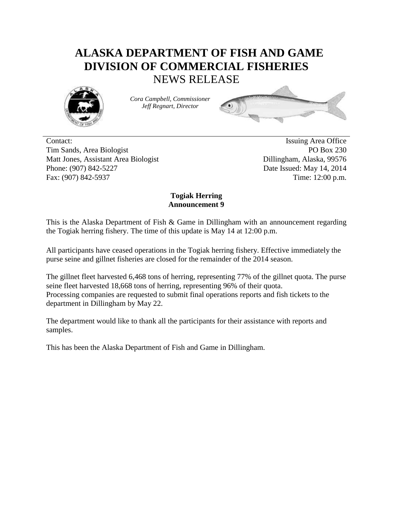## **ALASKA DEPARTMENT OF FISH AND GAME DIVISION OF COMMERCIAL FISHERIES** NEWS RELEASE



*Cora Campbell, Commissioner Jeff Regnart, Director*



Contact: Issuing Area Office Tim Sands, Area Biologist PO Box 230 Matt Jones, Assistant Area Biologist Dillingham, Alaska, 99576 Phone: (907) 842-5227 Date Issued: May 14, 2014 Fax: (907) 842-5937 Time: 12:00 p.m.

## **Togiak Herring Announcement 9**

This is the Alaska Department of Fish & Game in Dillingham with an announcement regarding the Togiak herring fishery. The time of this update is May 14 at 12:00 p.m.

All participants have ceased operations in the Togiak herring fishery. Effective immediately the purse seine and gillnet fisheries are closed for the remainder of the 2014 season.

The gillnet fleet harvested 6,468 tons of herring, representing 77% of the gillnet quota. The purse seine fleet harvested 18,668 tons of herring, representing 96% of their quota. Processing companies are requested to submit final operations reports and fish tickets to the department in Dillingham by May 22.

The department would like to thank all the participants for their assistance with reports and samples.

This has been the Alaska Department of Fish and Game in Dillingham.